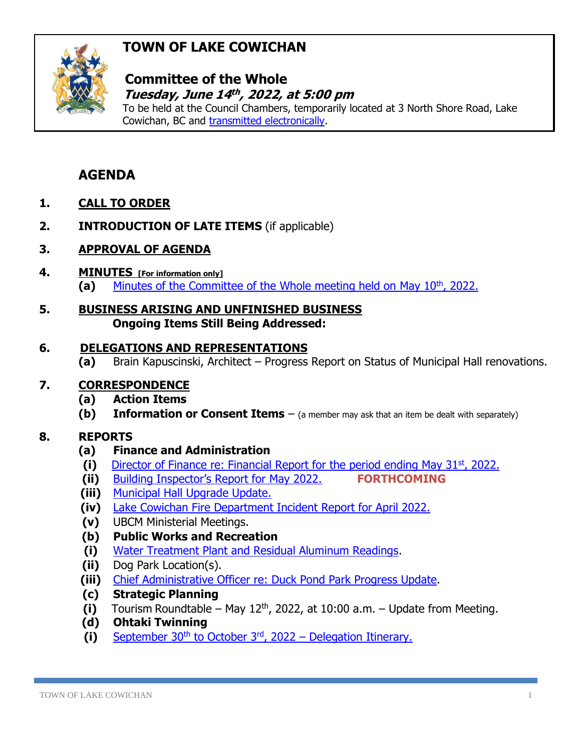# **TOWN OF LAKE COWICHAN**



### **Committee of the Whole**  *Tuesday, June 14<sup>th</sup>, 2022, at 5:00 pm*

To be held at the Council Chambers, temporarily located at 3 North Shore Road, Lake Cowichan, BC and [transmitted electronically.](https://www.youtube.com/channel/UC5plCK4kDsLCaGkpiq4SQAA/featured)

# **AGENDA**

- **1. CALL TO ORDER**
- **2. INTRODUCTION OF LATE ITEMS** (if applicable)
- **3. APPROVAL OF AGENDA**
- **4. MINUTES [For information only] (a)** [Minutes of the Committee of the Whole meeting held on May 10](http://www.lakecowichan.ca/dl/22-05-10CW.pdf)th, 2022.
- **5. BUSINESS ARISING AND UNFINISHED BUSINESS Ongoing Items Still Being Addressed:**

### **6. DELEGATIONS AND REPRESENTATIONS**

**(a)** Brain Kapuscinski, Architect – Progress Report on Status of Municipal Hall renovations.

#### **7. CORRESPONDENCE**

- **(a) Action Items**
- **(b) Information or Consent Items** (a member may ask that an item be dealt with separately)

## **8. REPORTS**

- **(a) Finance and Administration**
- (i) [Director of Finance re: Financial Report for the period ending May 31](https://www.lakecowichan.ca/dl/finmay22.pdf)<sup>st</sup>, 2022.
- **(ii)** [Building Inspector's Report for](http://www.lakecowichan.ca/dl/bimay22.pdf) May 2022. **FORTHCOMING**
- **(iii)** [Municipal Hall Upgrade Update.](http://www.lakecowichan.ca/dl/halljune22.pdf)
- **(iv)** [Lake Cowichan Fire Department Incident Report for April 2022.](http://www.lakecowichan.ca/dl/fdapr22.pdf)
- **(v)** UBCM Ministerial Meetings.
- **(b) Public Works and Recreation**
- **(i)** [Water Treatment Plant and Residual Aluminum Readings.](http://www.lakecowichan.ca/dl/wtpalumreads22.pdf)
- **(ii)** Dog Park Location(s).
- **(iii)** [Chief Administrative Officer re: Duck Pond Park Progress Update.](http://www.lakecowichan.ca/dl/duckpond22-06.pdf)
- **(c) Strategic Planning**
- $(i)$  Tourism Roundtable May 12<sup>th</sup>, 2022, at 10:00 a.m. Update from Meeting.
- **(d) Ohtaki Twinning**
- **(i)** September 30th to October 3rd, 2022 [Delegation Itinerary.](http://www.lakecowichan.ca/dl/Date%202022%20itinerary.pdf)